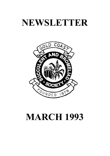# **NEWSLETTER**



# **MARCH 1993**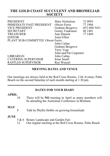# **THE GOLD COAST SUCCULENT AND BROMELIAD SOCIETY**

| <b>PRESIDENT</b><br><b>IMMEDIATE PAST PRESIDENT</b> | Mary Nicholson<br>Olwen Ferris | 72 0993<br>77 1904 |  |
|-----------------------------------------------------|--------------------------------|--------------------|--|
| <b>VICE PRESIDENT</b>                               | Graham Besgrove                | (07) 800 5431      |  |
| <b>SECRETARY</b>                                    | Genny Vaukonen                 | 46 1401            |  |
| <b>TREASURER</b>                                    | Jum Daniels                    | 77 1469            |  |
| <b>EDITOR</b>                                       | Joint Effort                   |                    |  |
| PLANT SUB-COMMITTEE Olwen Ferris                    |                                |                    |  |
|                                                     | John Catlan                    |                    |  |
|                                                     | Graham Besgrove                |                    |  |
|                                                     | Terry Vogt                     |                    |  |
|                                                     | John and Pat Carpenter         |                    |  |
| <b>LIBRARIAN</b>                                    | John Catlan                    |                    |  |
| <b>CATERING SUPERVISOR</b>                          | Irene Small                    |                    |  |
| RAFFLES SUPERVISOR                                  | Roy Wenzel                     |                    |  |

#### **MEETING DATES AND VENUE**

Our meetings are always held at the Red Cross Rooms, 11th Avenue, Palm Beach on the second Saturday of each month starting at 1.30 pm.

### **DATES FOR YOUR DIARY**

# **APRIL**<sub>10</sub>

There will be **NO** meeting in April as many members will be attending the Australian Conference in Brisbane

#### **MAY**

8 Talk by Phyllis Hobbs on growing bromeliads

#### **JUNE**

- 5 & 6 Rotary Landscape and Garden Fair
- 12 Our regular meeting at the Red Cross Rooms, Palm Beach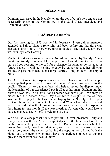# **DISCLAIMER**

Opinions expressed in the Newsletter are the contributor's own and are not necessarily those of the Committee or the Gold Coast Succulent and Bromeliad Society.

### **PRESIDENT'S REPORT**

Our first meeting for 1993 was held in February. Twenty-three members attended and three visitors (one who had been before and therefore was classed as one of us). There were nine apologies. The Lucky Door Prize was won by Barry Hertzog.

Much interest was shown in our new Newsletter printed by Wendy. Many thanks as Wendy volunteered for the position. How different it will be as more of you respond to the call for assistance for items to be included in future issues. I will be helping Wendy by gathering together all your articles to pass on to her. Don't forget stories - long or short - or helpful hints.

The Albert Aussie Day display was a success. Thank you to all the people who supplied plants and to those who gave of their time to talk to the public. Thank you to our members who helped set up the display under the leadership of our experienced put-it-all-together man, Graham and his crew of workers. You have done another wonderful job - we may be biased but the Albert Aussie Day Committee thought so too as they awarded the trophy for the Best Static Display to this Society. The trophy is at my home at the moment. Graham and Wendy have it next, then it will be passed out at the following meeting to someone else to display in their home for one month till the next meeting. Anyone who would like to have a chance to show it off is welcome to do so.

We also had a very pleasant duty to perform. Olwen presented Rolly and Evelyn Reilly with Life Membership Badges. In the time they have been in the Society, they have done so much. Rolly's Tillandsias, which he grows from seed, have found their way to many places in Australia. We are all very much the richer for having the opportunity to know both the plants and the people who must have the patience of Job as anyone growing them from seed would know.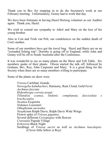Thank you to Bev for stepping in to do the Secretary's work at our February meeting. Unfortunately, Genny had to work that day.

We have been fortunate in having Hazel Hertzog volunteer as our Auditor again. Thank you, Hazel.

We wish to extend our sympathy to Athol and Mary on the loss of his young brother.

Also to Con and Trish van Pelt, our condolences on the sudden death of Con's mother.

Some of our members have got the travel bug: Hazel and Barry are on an "extended fishing trip", Dorothy is going off to England; while John and Genny will be off to South Australia after the Conference.

It was wonderful to see so many plants on the Show and Tell Table. Six members spoke of their plants. Olwen started the talk off, followed by Graham, Bev, Roy, John Carpenter and Mary. It is a great thing for the Society when there are so many members willing to participate.

Some of the plants on show were:

*Vriesea* Carlsbad, Grande *Neoregelia kalmbacheri*, Harmony, Rain Cloud, Gold Fever *Aechmea fasciata Hohenbergia correia-arauji Tillandsia cyanea, lindenii, complanata, fasciculata x brachycaulos Neomea* Exquisita *Nidumea* Loeseneri *Othophytum navioides Neophytum* Ralph Davis, Ralph Davis Wide Wings Flower spike of *Vriesea gigantea* Several different *Cereopegias* with flowers *Crassuala* Pagoda Village *Echereria* Black Night Seedlings of *Vriesea sucrei* as well as *Aechmea leucolepsis*. (Clever little fellow is Roy)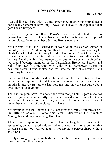# **HOW I GOT STARTED**

Bev Collins

I would like to share with you my experience of growing bromeliads, I don't really remember how long I have had a love of these plants but it goes back a few years.

I have been going to Olwen Ferris's place since she first came to Queensland but at first it was because she had an interesting supply of indoor plants, I can remember admiring Broms even then.

My husband, John, and I started to answer ads in the Garden section in Saturday's Courier Mail and quite often there would be Broms among the plants for sale. I started to bring the odd plant home. About this time we became members of the Queensland Succulent Society and after a while became friendly with a few members and one in particular convinced us we should become members of the Queensland Bromeliad Society and right from our first meeting when John won *Neoregelia* Vulcan in beautiful colour, I was hooked and that was the start of a beautiful and rewarding few years.

I am afraid I have not always done the right thing by my plants as we have moved around quite a bit and the worst treatment they got was our six months in Hervey Bay as we had possums and they are not fussy about what they do to anything.

The last few years have been better and even though I still regard myself as a novice grower I can honestly say I have learned a lot from both Olwen Ferris and Grace Goode and they are very forgiving when I cannot remember the names of the plants that I have.

My favourites are the Neoregelias as I am forever surprised and pleased by the different colours. Some time later I discovered the miniature Neoregelias and they are a delightful plant.

After many disappointments I think I have at long last discovered the secret of growing a good coloured plant but as I am not a competitive person I am not too worried about it not having a perfect shape without any marks.

I really enjoy growing Bromeliads and with a little tender loving care they reward me with their beauty.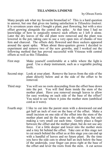#### **TILLANDSIA LINDENII**

by Olwen Ferris

Many people ask what my favourite bromeliad is? This is a hard question to answer, but one that gives me lasting satisfaction is *Tillandsia lindenii*. It is seventeen years since I bought a plant, past flowering, but with a nice offset growing alongside the central dry spike. At that time I had no knowledge of how to surgically remove such offsets so I left it alone. Later the dry leaves of the old plant were removed and the plant was lowered in the pot, taking care to use a very open mix of chunks of tree fern and charcoal. The offsets duly flowered and three suckers appeared around the spent spike. When about three-quarters grown I decided to experiment and remove two of the new growths, and I worked out the following method that has proved successful with Vrieseas with central offsets as well as this Tillandsia.

- First step: Make yourself comfortable at a table where the light is good. Use a sharp instrument, such as a vegetable peeling knife.
- Second step: Look at your plant. Remove the leaves from the side of the plant directly below and at the side of the offset to be removed.
- Third step: You will see no roots descending from the offset base down into the pot. You will find them inside the stem of the mother plant. Have you removed enough leaves to allow for easy working on each side of the base of the offset? You need to see where it joins the mother stem (umbilical cord as it were).
- Fourth step: I like to cut into the parent stem with a downward cut and get half an inch of root on the base of the offset. Make a small incision on one side of the offset into the stem of the mother plant and do the same on the other side, but only making a very small cut each time. Gently place a finger between the offset and the mother plant, but do not use any force. Cut a little deeper and lower into the mother stem and a tiny bit behind the offset. Take care at this stage not to cut much behind the offset as at this stage you can end up with a handful of leaves and no future plant. By the time you have the side cuts to about half an inch below the base of the underside, your finger can press right at the base of the offset and lever the roots from the stem. A cut across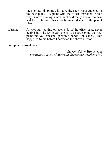the stem at this point will leave the short roots attached to the new plant. (A plant with the offsets removed in this way is now making a new sucker directly above the scar and the roots from this must be much deeper in the parent plant.)

Warning: Always start cutting on each side of the offset base, never behind it. The knife can slip if you start behind the new plant and you can end up with a handful of leaves. This happened to me before I perfected the above method.

Pot up in the usual way.

*Reprinted from* Bromeletter *Bromeliad Society of Australia, September-October 1980*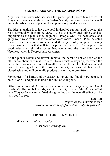# **BROMELIADS AND THE GARDEN POND**

Any bromeliad lover who has seen the garden pool photos taken at Parrot Jungle in Florida and shown in Wilson's early book on bromeliads will know the advantages of placing these plants as pool decoration.

The ideal situation is to have the pool in dappled sunlight and to select the rock surround with extreme care. Rocks are individual things, and as important as the plants they augment. People who live near creek and gully waterways well know the water-worn rocks I mean. Place selected rocks as naturally as possible around the edges of your pond, leaving spaces among them that will take a potted bromeliad. If your pond has good adequate light, the genus Neoregelia and the attractive rosette Neomea, which is Neoregelia x Aechmea.

As the plants colour and flower, remove the parent plant as soon as the offsets are about 1/<sub>3</sub>rd matured size. New offsets always appear when the parent has produced a series of small flowers. If the old plant is removed carefully leaving a little of the basal stem intact, the flowered plant can be placed aside and will generally produce one or two more offsets.

Sometimes, if a hardwood or casuarina log can be found, bore 5cm (2") holes along it and place it across the end of your pond.

Offsets of colourful Aechmeas such as *Aechmea* Burgundy, *Ae.* Coral Beads, *Ae.* Hummels Hybrids, *Ae.* Bill Barrett, or any of the *Ae. Chantinii* type *Platyaechmea* can be fitted along the log and the overall effect can be very good to see.

> Len Butt *Reprinted from* Bromeliaceae *Bromeliad Society of Queensland, July-August 1987*

### **THOUGHT FOR THE MONTH**

*Women grow old gracefully, Most men disgracefully.*

*Anon*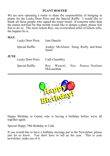# **PLANT ROSTER**

We are now operating a roster to share the responsibility of bringing in plants for the Lucky Door Prize and the Special Raffle. I would like to thank all those people who signed the roster board. If someone other than the names notified for that month would like to donate a plant, please feel free to do so. The more tickets Roy, our overworked seller of tickets sells, the happier he is.

### **MAY**

|             | Lucky Door Prize: Jum Daniels   |                                                         |
|-------------|---------------------------------|---------------------------------------------------------|
|             | Special Raffle:                 | Audrey McAlister, Doug Reilly and Irene<br>Small        |
| <b>JUNE</b> | Lucky Door Prize: Cath Chumbley |                                                         |
|             | Special Raffle:                 | Wenzel, Nez Pearce, Noelene<br><b>Roy</b><br>McLauchlan |



Happy Birthday to Genny who is having a birthday before we're all together again.

Special Happy 79th Birthday to Cath.

If you would like to have a birthday message put in the Newsletter, please just let us know. You don't have to tell us the year. This is your newsletter, make use of it.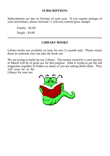# **SUBSCRIPTIONS**

Subscriptions are due in October of each year. If you require postage of your newsletters, please forward 11 (eleven) current-price stamps.

Family - \$6.00 Single - \$4.00

# **LIBRARY BOOKS**

Library books are available on loan for one (1) month only. Please return them so someone else can take the book out.

We are trying to build up our Library. The money raised by a cent auction in March will be of great use for this purpose. John is trying to get the old magazines together in folders as many of you are asking about them. They will soon be in the

Library for your use.